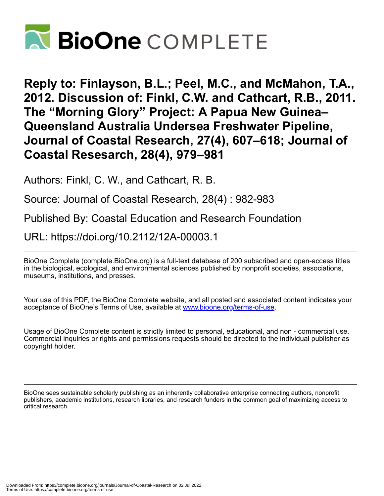

**Reply to: Finlayson, B.L.; Peel, M.C., and McMahon, T.A., 2012. Discussion of: Finkl, C.W. and Cathcart, R.B., 2011. The "Morning Glory" Project: A Papua New Guinea– Queensland Australia Undersea Freshwater Pipeline, Journal of Coastal Research, 27(4), 607–618; Journal of Coastal Resesarch, 28(4), 979–981**

Authors: Finkl, C. W., and Cathcart, R. B.

Source: Journal of Coastal Research, 28(4) : 982-983

Published By: Coastal Education and Research Foundation

URL: https://doi.org/10.2112/12A-00003.1

BioOne Complete (complete.BioOne.org) is a full-text database of 200 subscribed and open-access titles in the biological, ecological, and environmental sciences published by nonprofit societies, associations, museums, institutions, and presses.

Your use of this PDF, the BioOne Complete website, and all posted and associated content indicates your acceptance of BioOne's Terms of Use, available at www.bioone.org/terms-of-use.

Usage of BioOne Complete content is strictly limited to personal, educational, and non - commercial use. Commercial inquiries or rights and permissions requests should be directed to the individual publisher as copyright holder.

BioOne sees sustainable scholarly publishing as an inherently collaborative enterprise connecting authors, nonprofit publishers, academic institutions, research libraries, and research funders in the common goal of maximizing access to critical research.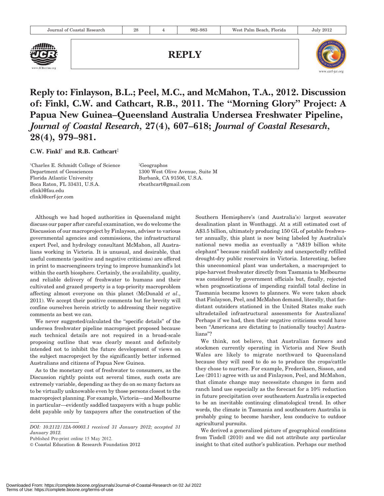

REPLY



Reply to: Finlayson, B.L.; Peel, M.C., and McMahon, T.A., 2012. Discussion of: Finkl, C.W. and Cathcart, R.B., 2011. The ''Morning Glory'' Project: A Papua New Guinea–Queensland Australia Undersea Freshwater Pipeline, Journal of Coastal Research, 27(4), 607–618; Journal of Coastal Resesarch, 28(4), 979–981.

C.W. Finkl<sup>†</sup> and R.B. Cathcart<sup>†</sup>

{ Charles E. Schmidt College of Science Department of Geosciences Florida Atlantic University Boca Raton, FL 33431, U.S.A. cfinkl@fau.edu cfinkl@cerf-jcr.com

{ Geographos 1300 West Olive Avenue, Suite M Burbank, CA 91506, U.S.A. rbcathcart@gmail.com

Although we had hoped authorities in Queensland might discuss our paper after careful examination, we do welcome the Discussion of our macroproject by Finlayson, advisor to various governmental agencies and commissions, the infrastructural expert Peel, and hydrology consultant McMahon, all Australians working in Victoria. It is unusual, and desirable, that useful comments (positive and negative criticisms) are offered in print to macroengineers trying to improve humankind's lot within the earth biosphere. Certainly, the availability, quality, and reliable delivery of freshwater to humans and their cultivated and grazed property is a top-priority macroproblem affecting almost everyone on this planet (McDonald et al., 2011). We accept their positive comments but for brevity will confine ourselves herein strictly to addressing their negative comments as best we can.

We never suggested/calculated the ''specific details'' of the undersea freshwater pipeline macroproject proposed because such technical details are not required in a broad-scale proposing outline that was clearly meant and definitely intended not to inhibit the future development of views on the subject macroproject by the significantly better informed Australians and citizens of Papua New Guinea.

As to the monetary cost of freshwater to consumers, as the Discussion rightly points out several times, such costs are extremely variable, depending as they do on so many factors as to be virtually unknowable even by those persons closest to the macroproject planning. For example, Victoria—and Melbourne in particular—evidently saddled taxpayers with a huge public debt payable only by taxpayers after the construction of the

Southern Hemisphere's (and Australia's) largest seawater desalination plant in Wonthaggi. At a still estimated cost of A\$3.5 billion, ultimately producing 150 GL of potable freshwater annually, this plant is now being labeled by Australia's national news media as eventually a "A\$19 billion white elephant'' because rainfall suddenly and unexpectedly refilled drought-dry public reservoirs in Victoria. Interesting, before this uneconomical plant was undertaken, a macroproject to pipe-harvest freshwater directly from Tasmania to Melbourne was considered by government officials but, finally, rejected when prognostications of impending rainfall total decline in Tasmania became known to planners. We were taken aback that Finlayson, Peel, and McMahon demand, literally, that fardistant outsiders stationed in the United States make such ultradetailed infrastructural assessments for Australians! Perhaps if we had, then their negative criticisms would have been ''Americans are dictating to [nationally touchy] Australians''?

We think, not believe, that Australian farmers and stockmen currently operating in Victoria and New South Wales are likely to migrate northward to Queensland because they will need to do so to produce the crops/cattle they chose to nurture. For example, Frederiksen, Sisson, and Lee (2011) agree with us and Finlayson, Peel, and McMahon, that climate change may necessitate changes in farm and ranch land use especially as the forecast for a 10% reduction in future precipitation over southeastern Australia is expected to be an inevitable continuing climatological trend. In other words, the climate in Tasmania and southeastern Australia is probably going to become harsher, less conducive to outdoor agricultural pursuits.

We derived a generalized picture of geographical conditions from Tisdell (2010) and we did not attribute any particular insight to that cited author's publication. Perhaps our method

DOI: 10.2112/12A-00003.1 received 31 January 2012; accepted 31 January 2012.

Published Pre-print online 15 May 2012.

<sup>©</sup> Coastal Education & Research Foundation 2012